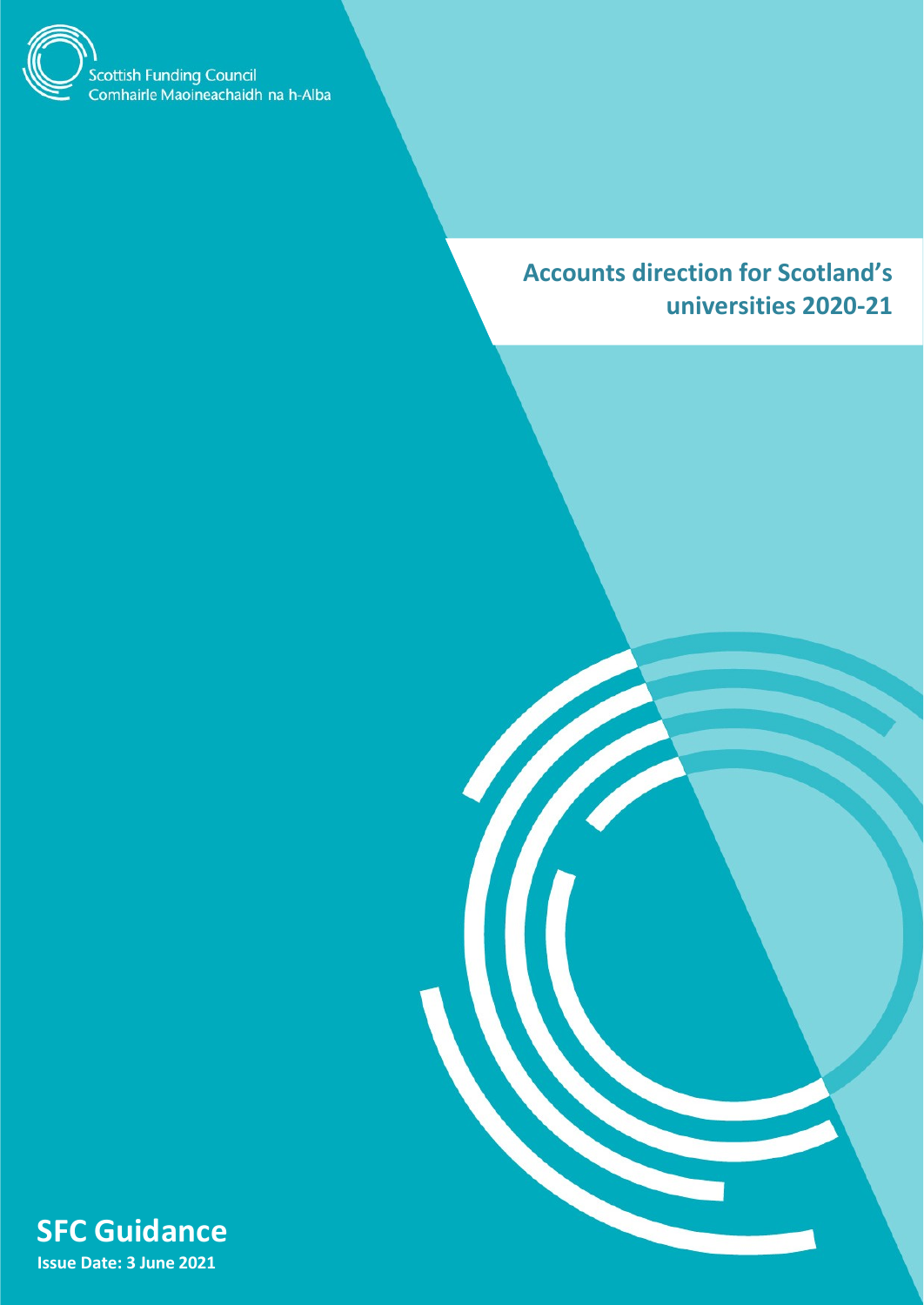

**Accounts direction for Scotland's universities 2020-21**



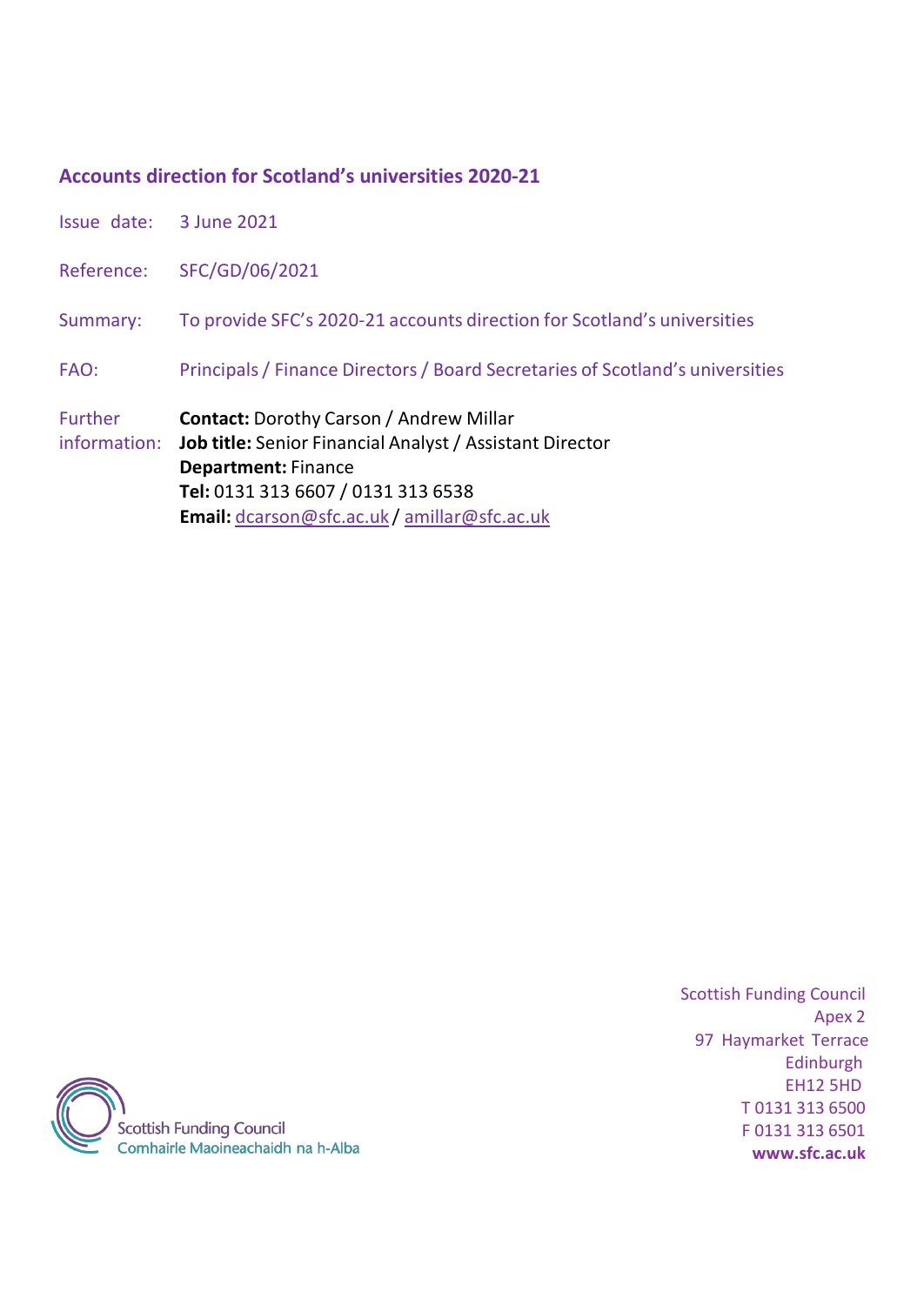# **Accounts direction for Scotland's universities 2020-21**

| Issue date: 3 June 2021        |                                                                                                                                                                                                                                            |
|--------------------------------|--------------------------------------------------------------------------------------------------------------------------------------------------------------------------------------------------------------------------------------------|
|                                | Reference: SFC/GD/06/2021                                                                                                                                                                                                                  |
| Summary:                       | To provide SFC's 2020-21 accounts direction for Scotland's universities                                                                                                                                                                    |
| FAO:                           | Principals / Finance Directors / Board Secretaries of Scotland's universities                                                                                                                                                              |
| <b>Further</b><br>information: | <b>Contact:</b> Dorothy Carson / Andrew Millar<br><b>Job title:</b> Senior Financial Analyst / Assistant Director<br><b>Department: Finance</b><br>Tel: 0131 313 6607 / 0131 313 6538<br><b>Email:</b> dcarson@sfc.ac.uk/amillar@sfc.ac.uk |

<span id="page-1-0"></span>

Scottish Funding Council Apex 2 97 Haymarket Terrace Edinburgh EH12 5HD T 0131 313 6500 F 0131 313 6501 **[www.sfc.ac.uk](http://www.sfc.ac.uk/)**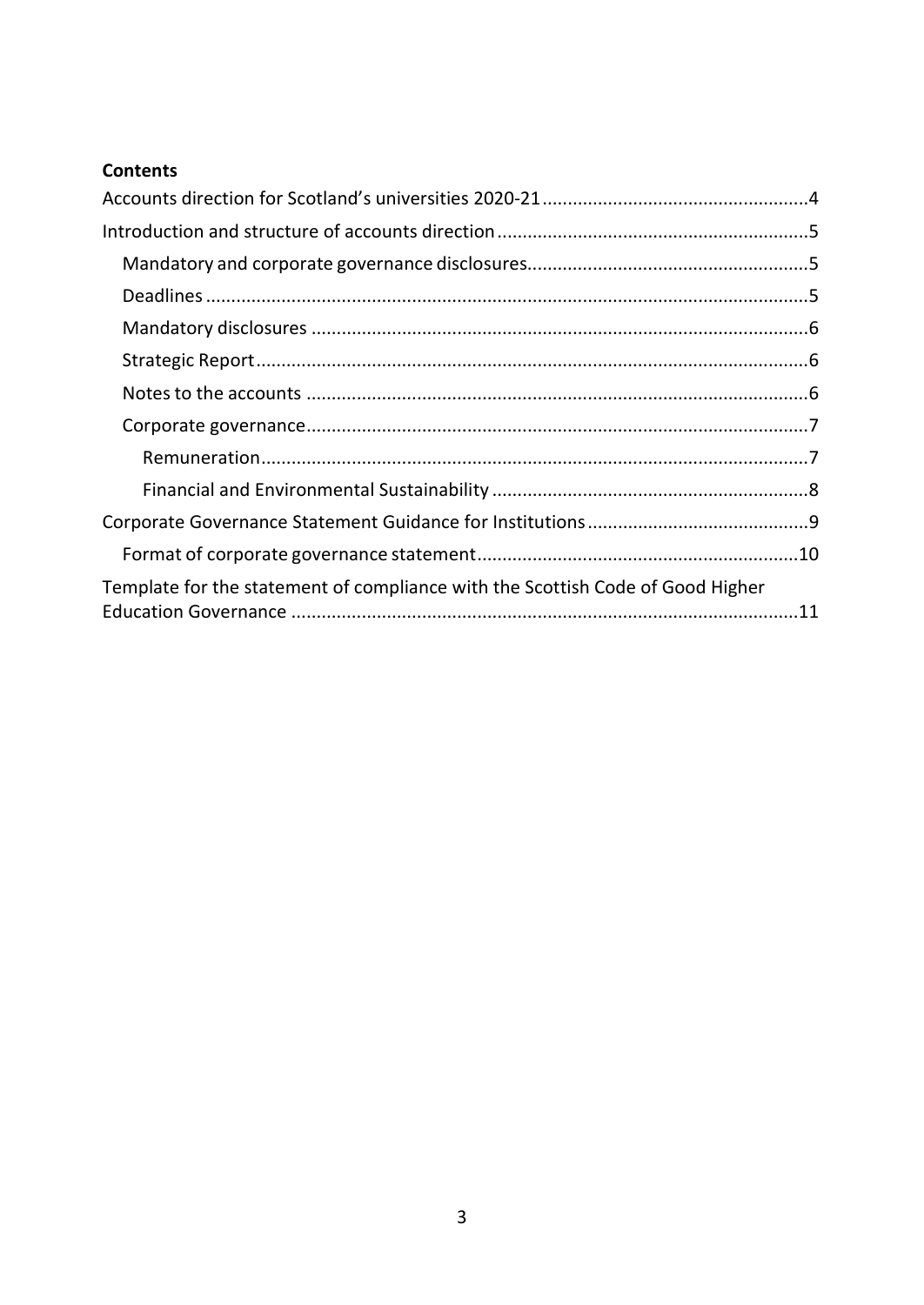# **Contents**

| Template for the statement of compliance with the Scottish Code of Good Higher |  |
|--------------------------------------------------------------------------------|--|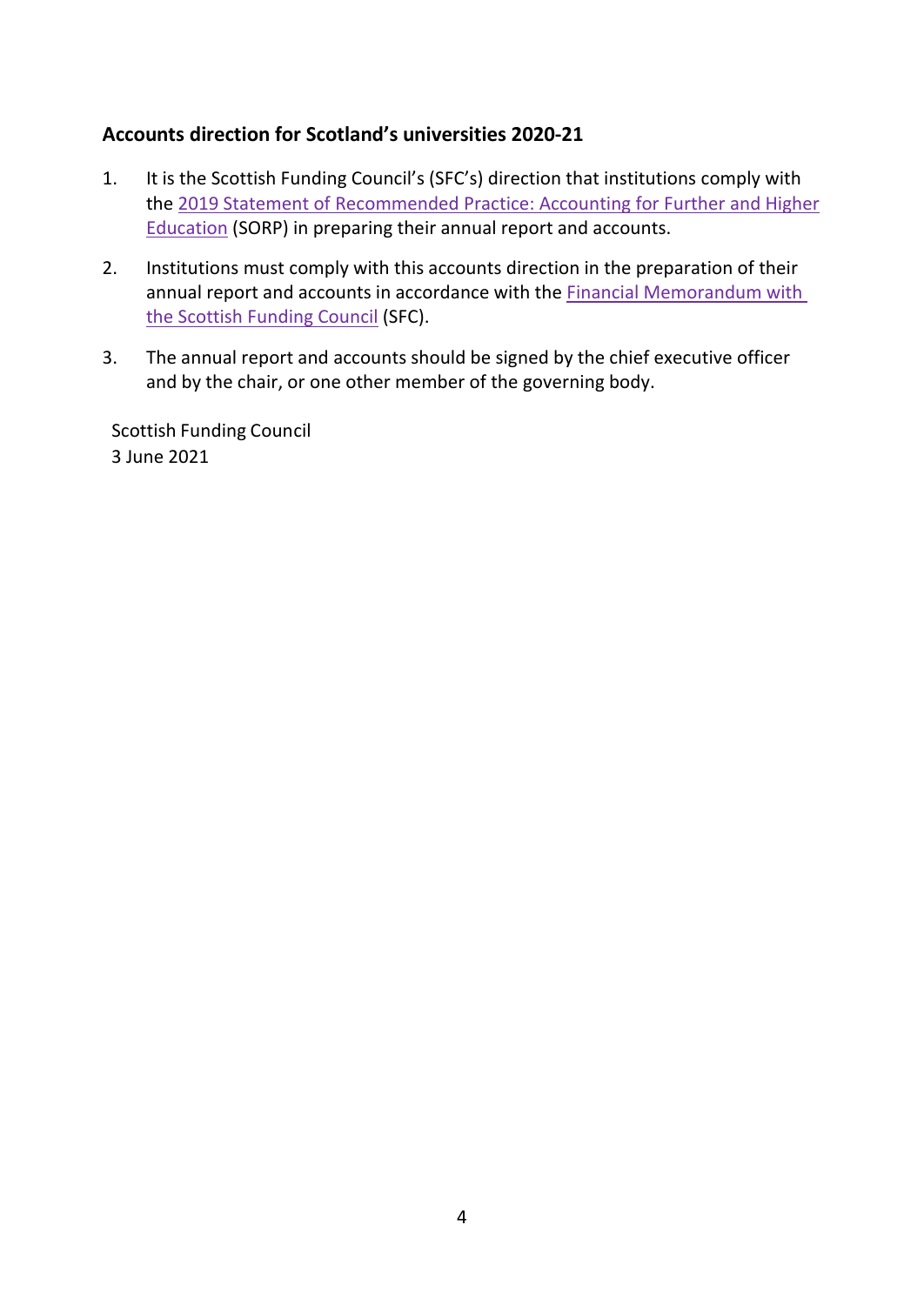## <span id="page-3-0"></span>**Accounts direction for Scotland's universities 2020-21**

- 1. It is the Scottish Funding Council's (SFC's) direction that institutions comply with the [2019 Statement of Recommended Practice: Accounting for Further](https://www.universitiesuk.ac.uk/policy-and-analysis/reports/Pages/statement-of-recommended-practice-2019.aspx) and Higher [Education](https://www.universitiesuk.ac.uk/policy-and-analysis/reports/Pages/statement-of-recommended-practice-2019.aspx) (SORP) in preparing their annual report and accounts.
- 2. Institutions must comply with this accounts direction in the preparation of their annual report and accounts in accordance with the **Financial Memorandum with** [the Scottish Funding Council](http://www.sfc.ac.uk/web/FILES/Guidance_Governance/Financial_Memorandum_with_higher_education_institutions_-_1_December_2014.pdf) (SFC).
- 3. The annual report and accounts should be signed by the chief executive officer and by the chair, or one other member of the governing body.

Scottish Funding Council 3 June 2021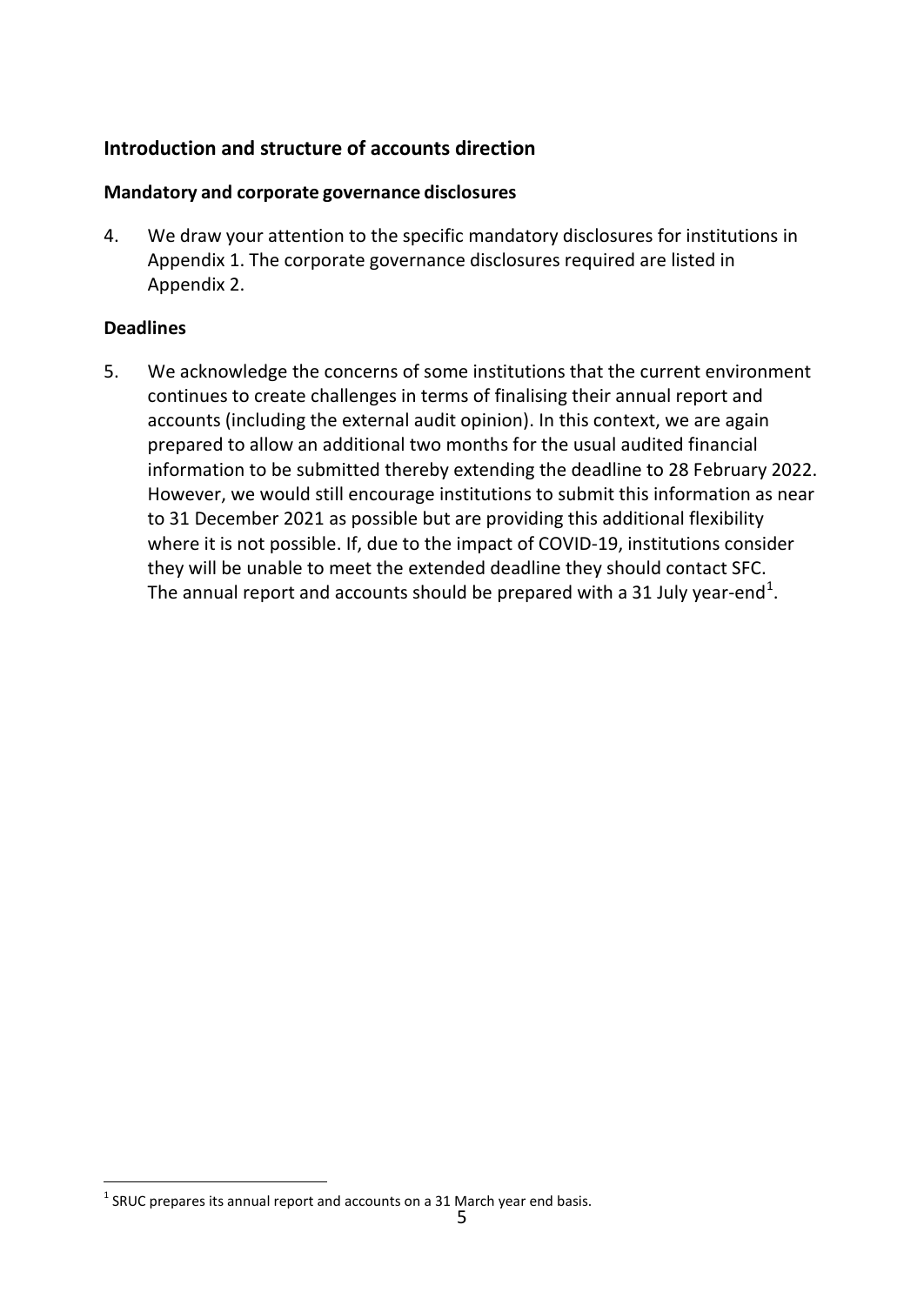# <span id="page-4-0"></span>**Introduction and structure of accounts direction**

### <span id="page-4-1"></span>**Mandatory and corporate governance disclosures**

4. We draw your attention to the specific mandatory disclosures for institutions in Appendix 1. The corporate governance disclosures required are listed in Appendix 2.

### <span id="page-4-2"></span>**Deadlines**

5. We acknowledge the concerns of some institutions that the current environment continues to create challenges in terms of finalising their annual report and accounts (including the external audit opinion). In this context, we are again prepared to allow an additional two months for the usual audited financial information to be submitted thereby extending the deadline to 28 February 2022. However, we would still encourage institutions to submit this information as near to 31 December 2021 as possible but are providing this additional flexibility where it is not possible. If, due to the impact of COVID-19, institutions consider they will be unable to meet the extended deadline they should contact SFC. The annual report and accounts should be prepared with a 3[1](#page-1-0) July year-end<sup>1</sup>.

<span id="page-4-3"></span> $1$  SRUC prepares its annual report and accounts on a 31 March year end basis.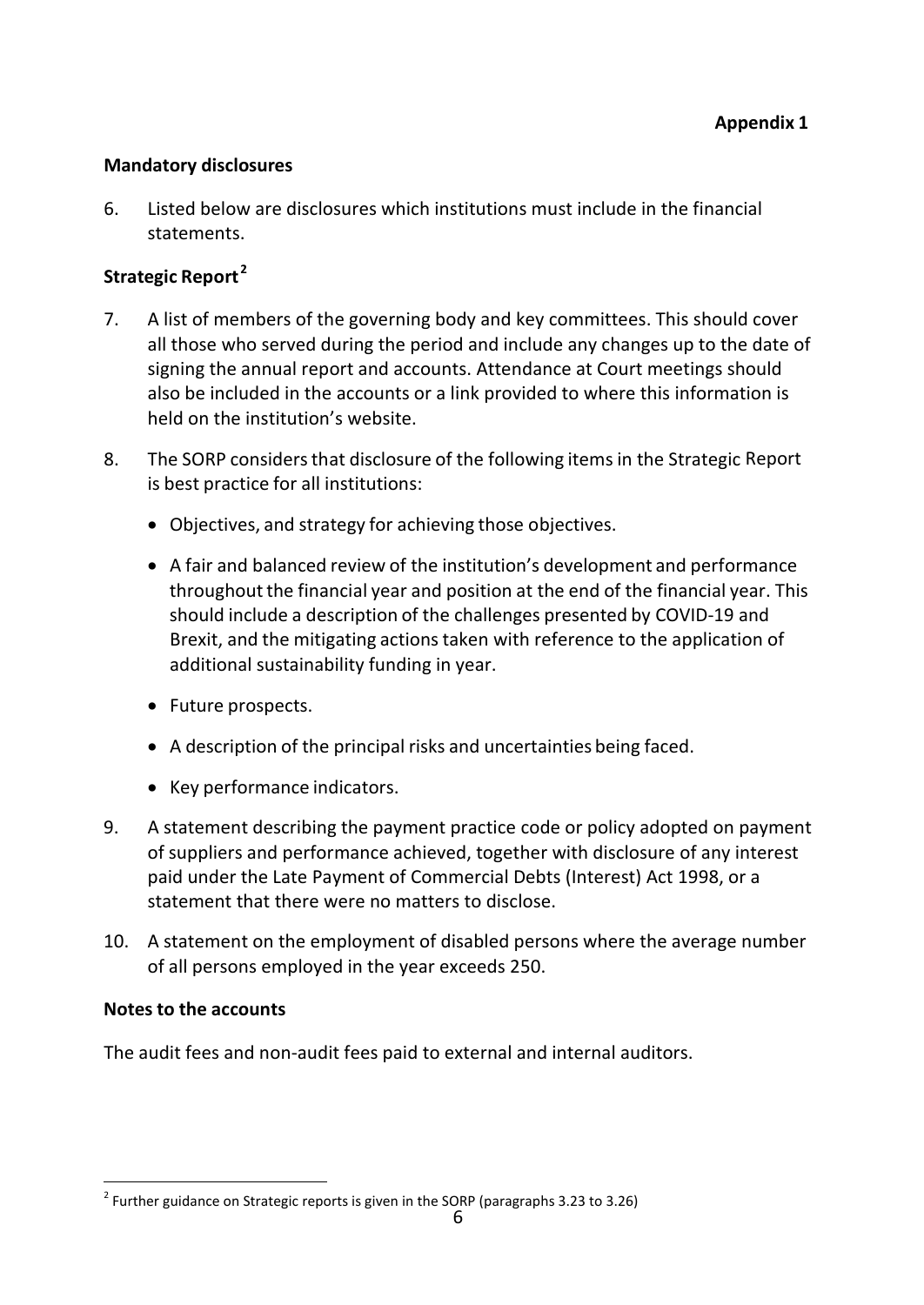#### <span id="page-5-0"></span>**Mandatory disclosures**

6. Listed below are disclosures which institutions must include in the financial statements.

# <span id="page-5-1"></span>**Strategic Report [2](#page-4-3)**

- 7. A list of members of the governing body and key committees. This should cover all those who served during the period and include any changes up to the date of signing the annual report and accounts. Attendance at Court meetings should also be included in the accounts or a link provided to where this information is held on the institution's website.
- 8. The SORP considers that disclosure of the following items in the Strategic Report is best practice for all institutions:
	- Objectives, and strategy for achieving those objectives.
	- A fair and balanced review of the institution's development and performance throughout the financial year and position at the end of the financial year. This should include a description of the challenges presented by COVID-19 and Brexit, and the mitigating actions taken with reference to the application of additional sustainability funding in year.
	- Future prospects.
	- A description of the principal risks and uncertainties being faced.
	- Key performance indicators.
- 9. A statement describing the payment practice code or policy adopted on payment of suppliers and performance achieved, together with disclosure of any interest paid under the Late Payment of Commercial Debts (Interest) Act 1998, or a statement that there were no matters to disclose.
- 10. A statement on the employment of disabled persons where the average number of all persons employed in the year exceeds 250.

### <span id="page-5-2"></span>**Notes to the accounts**

The audit fees and non-audit fees paid to external and internal auditors.

 $2$  Further guidance on Strategic reports is given in the SORP (paragraphs 3.23 to 3.26)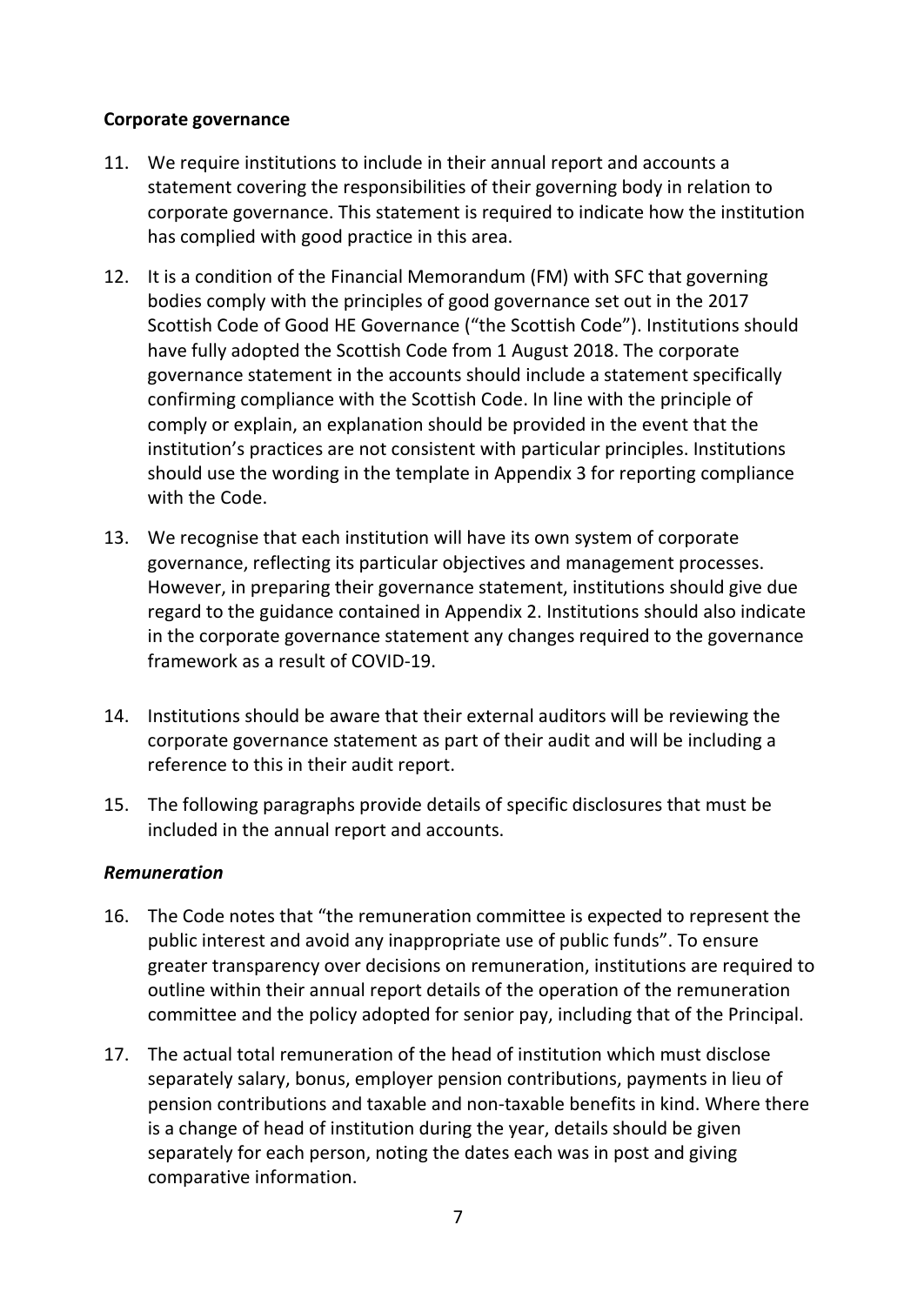#### <span id="page-6-0"></span>**Corporate governance**

- 11. We require institutions to include in their annual report and accounts a statement covering the responsibilities of their governing body in relation to corporate governance. This statement is required to indicate how the institution has complied with good practice in this area.
- 12. It is a condition of the Financial Memorandum (FM) with SFC that governing bodies comply with the principles of good governance set out in the 2017 Scottish Code of Good HE Governance ("the Scottish Code"). Institutions should have fully adopted the Scottish Code from 1 August 2018. The corporate governance statement in the accounts should include a statement specifically confirming compliance with the Scottish Code. In line with the principle of comply or explain, an explanation should be provided in the event that the institution's practices are not consistent with particular principles. Institutions should use the wording in the template in Appendix 3 for reporting compliance with the Code.
- 13. We recognise that each institution will have its own system of corporate governance, reflecting its particular objectives and management processes. However, in preparing their governance statement, institutions should give due regard to the guidance contained in Appendix 2. Institutions should also indicate in the corporate governance statement any changes required to the governance framework as a result of COVID-19.
- 14. Institutions should be aware that their external auditors will be reviewing the corporate governance statement as part of their audit and will be including a reference to this in their audit report.
- 15. The following paragraphs provide details of specific disclosures that must be included in the annual report and accounts.

#### <span id="page-6-1"></span>*Remuneration*

- 16. The Code notes that "the remuneration committee is expected to represent the public interest and avoid any inappropriate use of public funds". To ensure greater transparency over decisions on remuneration, institutions are required to outline within their annual report details of the operation of the remuneration committee and the policy adopted for senior pay, including that of the Principal.
- 17. The actual total remuneration of the head of institution which must disclose separately salary, bonus, employer pension contributions, payments in lieu of pension contributions and taxable and non-taxable benefits in kind. Where there is a change of head of institution during the year, details should be given separately for each person, noting the dates each was in post and giving comparative information.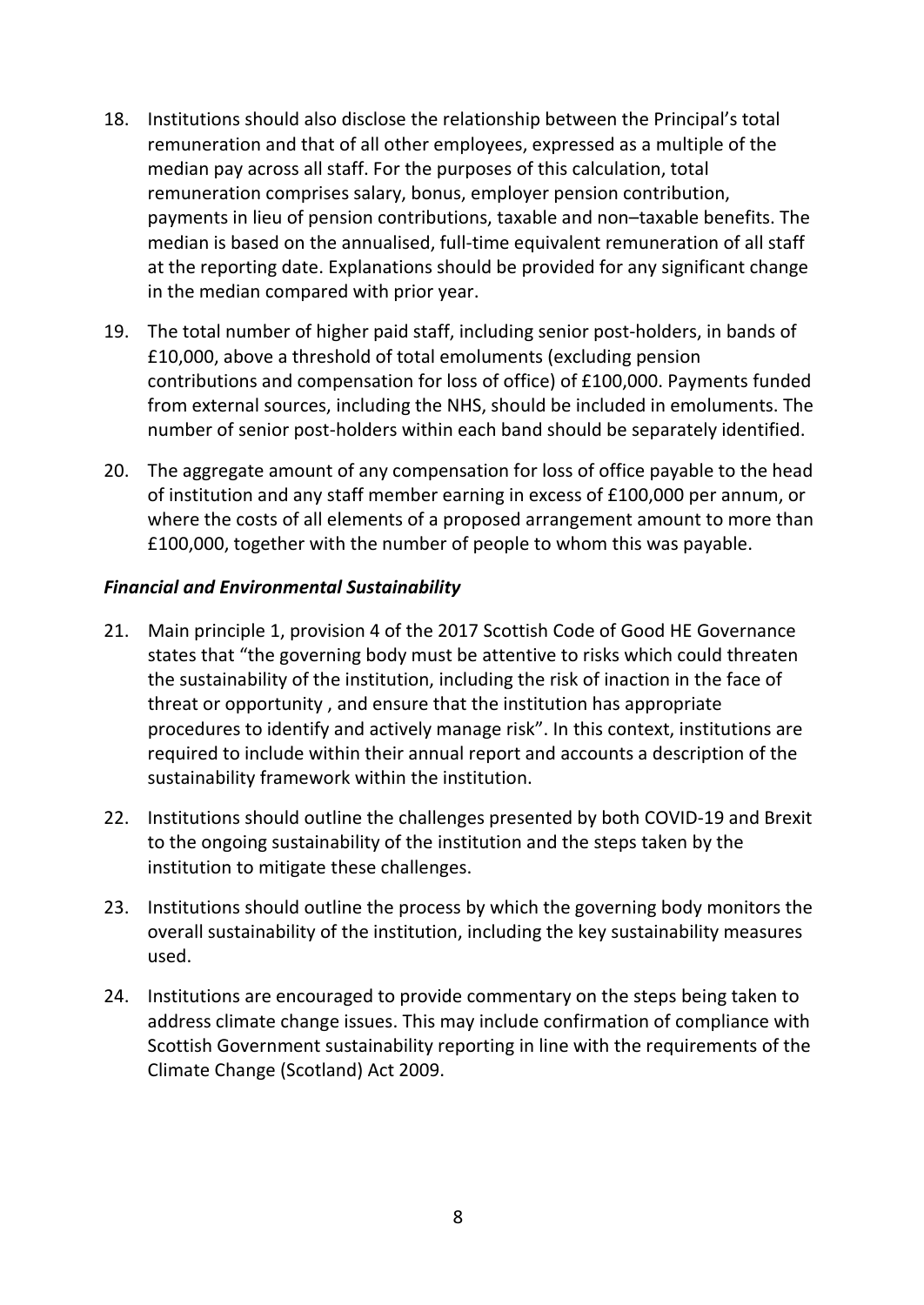- 18. Institutions should also disclose the relationship between the Principal's total remuneration and that of all other employees, expressed as a multiple of the median pay across all staff. For the purposes of this calculation, total remuneration comprises salary, bonus, employer pension contribution, payments in lieu of pension contributions, taxable and non–taxable benefits. The median is based on the annualised, full-time equivalent remuneration of all staff at the reporting date. Explanations should be provided for any significant change in the median compared with prior year.
- 19. The total number of higher paid staff, including senior post-holders, in bands of £10,000, above a threshold of total emoluments (excluding pension contributions and compensation for loss of office) of £100,000. Payments funded from external sources, including the NHS, should be included in emoluments. The number of senior post-holders within each band should be separately identified.
- 20. The aggregate amount of any compensation for loss of office payable to the head of institution and any staff member earning in excess of £100,000 per annum, or where the costs of all elements of a proposed arrangement amount to more than £100,000, together with the number of people to whom this was payable.

### <span id="page-7-0"></span>*Financial and Environmental Sustainability*

- 21. Main principle 1, provision 4 of the 2017 Scottish Code of Good HE Governance states that "the governing body must be attentive to risks which could threaten the sustainability of the institution, including the risk of inaction in the face of threat or opportunity , and ensure that the institution has appropriate procedures to identify and actively manage risk". In this context, institutions are required to include within their annual report and accounts a description of the sustainability framework within the institution.
- 22. Institutions should outline the challenges presented by both COVID-19 and Brexit to the ongoing sustainability of the institution and the steps taken by the institution to mitigate these challenges.
- 23. Institutions should outline the process by which the governing body monitors the overall sustainability of the institution, including the key sustainability measures used.
- 24. Institutions are encouraged to provide commentary on the steps being taken to address climate change issues. This may include confirmation of compliance with Scottish Government sustainability reporting in line with the requirements of the Climate Change (Scotland) Act 2009.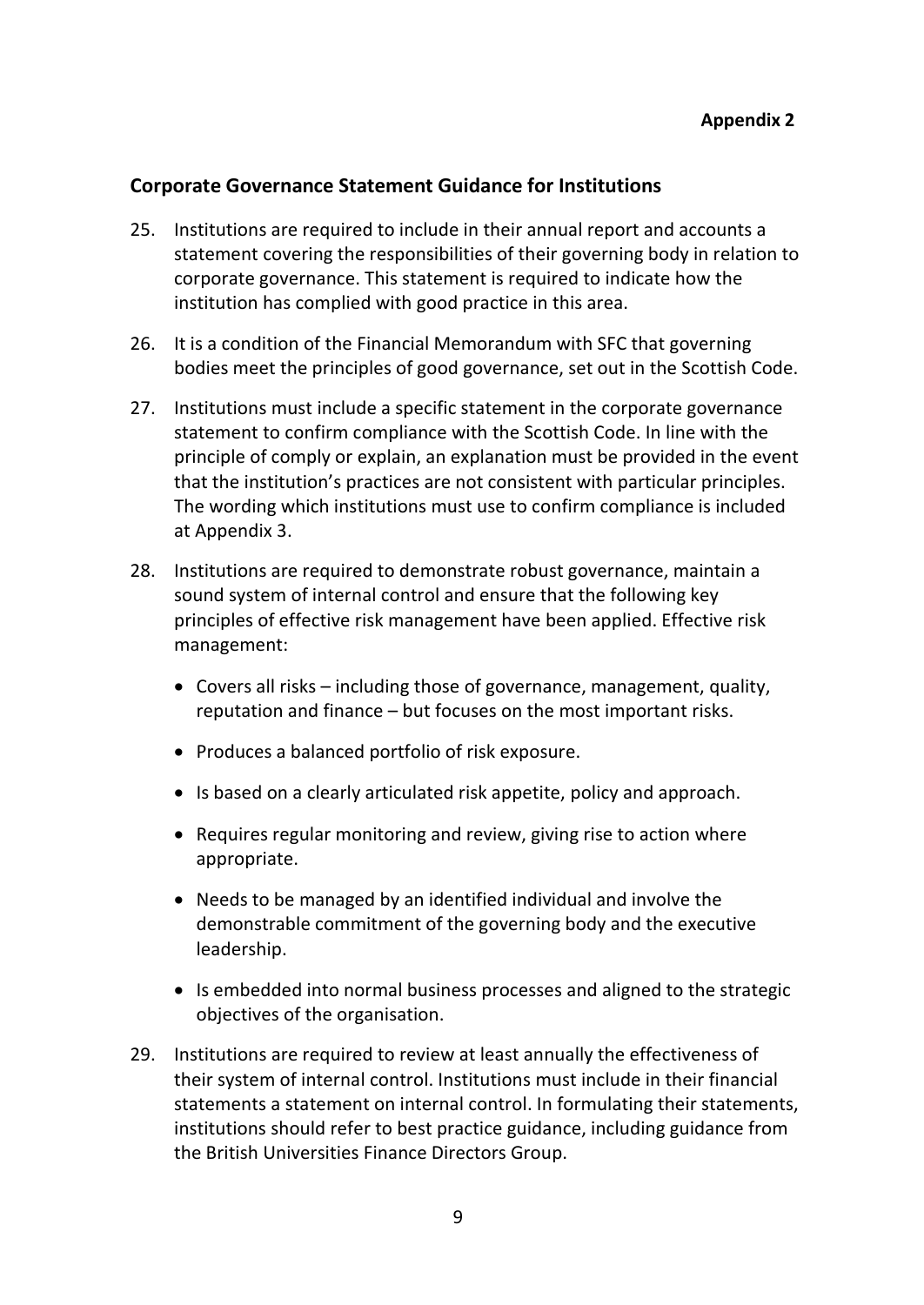### <span id="page-8-0"></span>**Corporate Governance Statement Guidance for Institutions**

- 25. Institutions are required to include in their annual report and accounts a statement covering the responsibilities of their governing body in relation to corporate governance. This statement is required to indicate how the institution has complied with good practice in this area.
- 26. It is a condition of the Financial Memorandum with SFC that governing bodies meet the principles of good governance, set out in the Scottish Code.
- 27. Institutions must include a specific statement in the corporate governance statement to confirm compliance with the Scottish Code. In line with the principle of comply or explain, an explanation must be provided in the event that the institution's practices are not consistent with particular principles. The wording which institutions must use to confirm compliance is included at Appendix 3.
- 28. Institutions are required to demonstrate robust governance, maintain a sound system of internal control and ensure that the following key principles of effective risk management have been applied. Effective risk management:
	- Covers all risks including those of governance, management, quality, reputation and finance – but focuses on the most important risks.
	- Produces a balanced portfolio of risk exposure.
	- Is based on a clearly articulated risk appetite, policy and approach.
	- Requires regular monitoring and review, giving rise to action where appropriate.
	- Needs to be managed by an identified individual and involve the demonstrable commitment of the governing body and the executive leadership.
	- Is embedded into normal business processes and aligned to the strategic objectives of the organisation.
- 29. Institutions are required to review at least annually the effectiveness of their system of internal control. Institutions must include in their financial statements a statement on internal control. In formulating their statements, institutions should refer to best practice guidance, including guidance from the British Universities Finance Directors Group.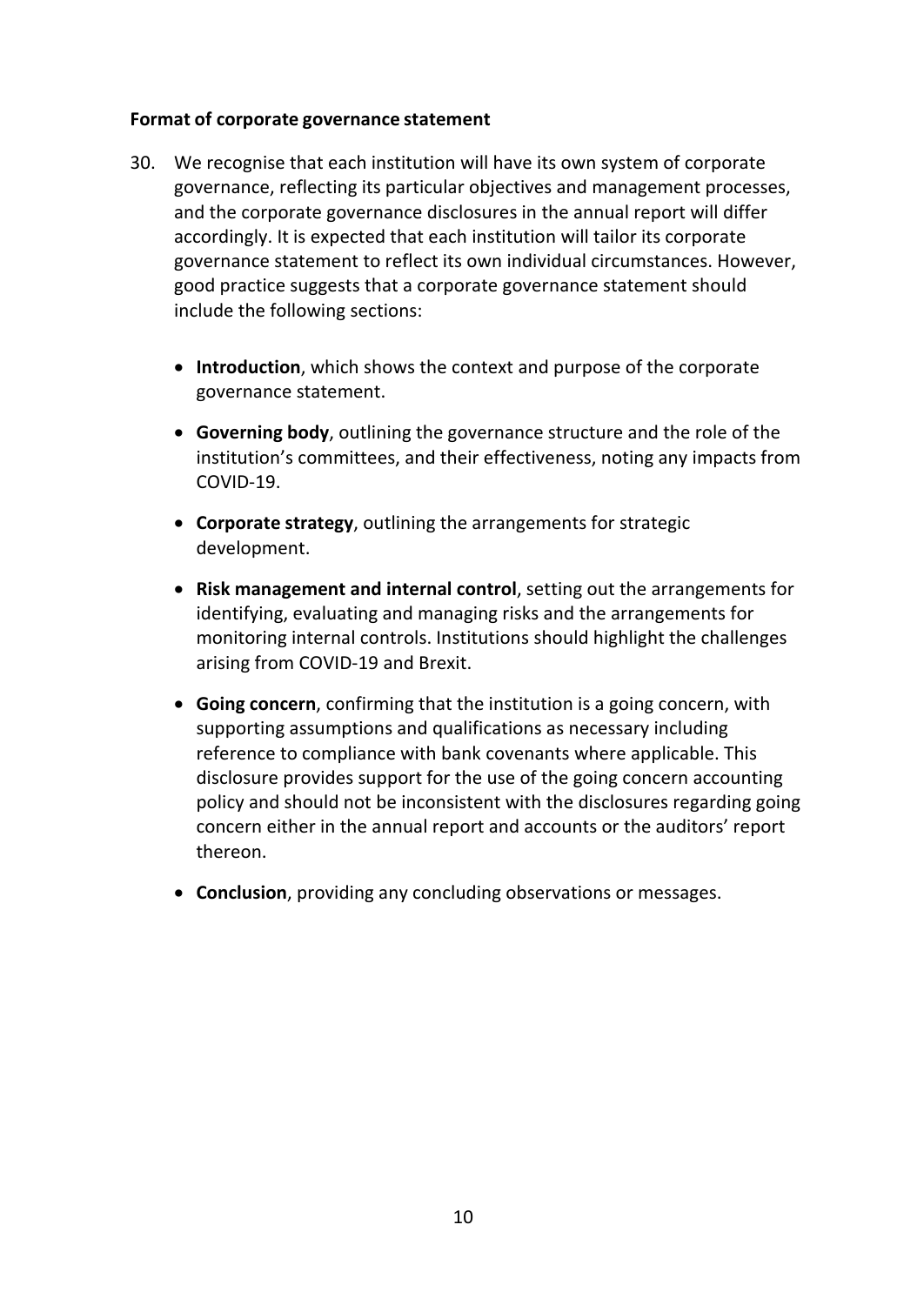#### <span id="page-9-0"></span>**Format of corporate governance statement**

- 30. We recognise that each institution will have its own system of corporate governance, reflecting its particular objectives and management processes, and the corporate governance disclosures in the annual report will differ accordingly. It is expected that each institution will tailor its corporate governance statement to reflect its own individual circumstances. However, good practice suggests that a corporate governance statement should include the following sections:
	- **Introduction**, which shows the context and purpose of the corporate governance statement.
	- **Governing body**, outlining the governance structure and the role of the institution's committees, and their effectiveness, noting any impacts from COVID-19.
	- **Corporate strategy**, outlining the arrangements for strategic development.
	- **Risk management and internal control**, setting out the arrangements for identifying, evaluating and managing risks and the arrangements for monitoring internal controls. Institutions should highlight the challenges arising from COVID-19 and Brexit.
	- **Going concern**, confirming that the institution is a going concern, with supporting assumptions and qualifications as necessary including reference to compliance with bank covenants where applicable. This disclosure provides support for the use of the going concern accounting policy and should not be inconsistent with the disclosures regarding going concern either in the annual report and accounts or the auditors' report thereon.
	- **Conclusion**, providing any concluding observations or messages.